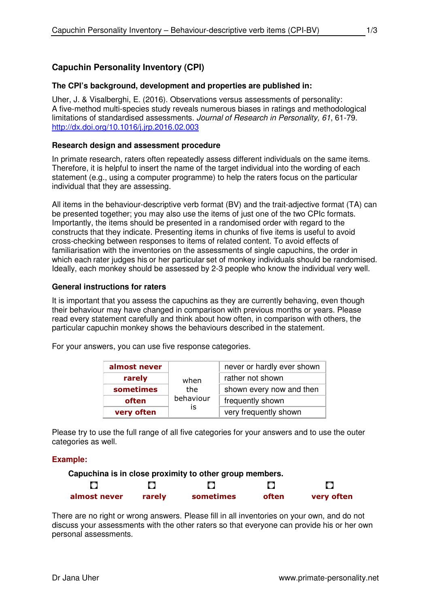# **Capuchin Personality Inventory (CPI)**

### **The CPI's background, development and properties are published in:**

Uher, J. & Visalberghi, E. (2016). Observations versus assessments of personality: A five-method multi-species study reveals numerous biases in ratings and methodological limitations of standardised assessments. Journal of Research in Personality, 61, 61-79. http://dx.doi.org/10.1016/j.jrp.2016.02.003

#### **Research design and assessment procedure**

In primate research, raters often repeatedly assess different individuals on the same items. Therefore, it is helpful to insert the name of the target individual into the wording of each statement (e.g., using a computer programme) to help the raters focus on the particular individual that they are assessing.

All items in the behaviour-descriptive verb format (BV) and the trait-adjective format (TA) can be presented together; you may also use the items of just one of the two CPIc formats. Importantly, the items should be presented in a randomised order with regard to the constructs that they indicate. Presenting items in chunks of five items is useful to avoid cross-checking between responses to items of related content. To avoid effects of familiarisation with the inventories on the assessments of single capuchins, the order in which each rater judges his or her particular set of monkey individuals should be randomised. Ideally, each monkey should be assessed by 2-3 people who know the individual very well.

#### **General instructions for raters**

It is important that you assess the capuchins as they are currently behaving, even though their behaviour may have changed in comparison with previous months or years. Please read every statement carefully and think about how often, in comparison with others, the particular capuchin monkey shows the behaviours described in the statement.

For your answers, you can use five response categories.

| almost never |           | never or hardly ever shown |  |  |
|--------------|-----------|----------------------------|--|--|
| rarely       | when      | rather not shown           |  |  |
| sometimes    | the       | shown every now and then   |  |  |
| often        | behaviour | frequently shown           |  |  |
| very often   | İS        | very frequently shown      |  |  |

Please try to use the full range of all five categories for your answers and to use the outer categories as well.

#### **Example:**



There are no right or wrong answers. Please fill in all inventories on your own, and do not discuss your assessments with the other raters so that everyone can provide his or her own personal assessments.

1/3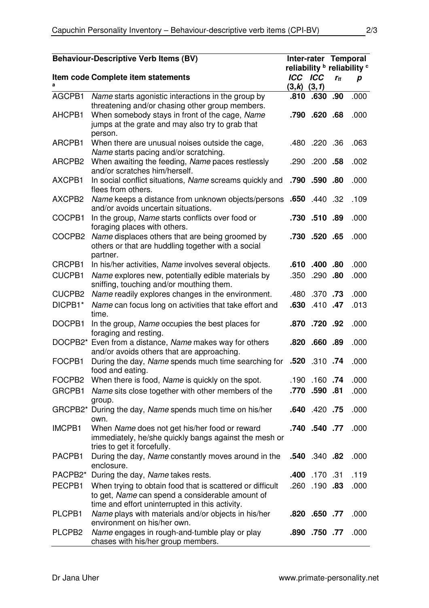| <b>Behaviour-Descriptive Verb Items (BV)</b> |                                                                                                                                       |                 | Inter-rater Temporal<br>reliability <b>b</b> reliability <sup>c</sup> |          |      |
|----------------------------------------------|---------------------------------------------------------------------------------------------------------------------------------------|-----------------|-----------------------------------------------------------------------|----------|------|
|                                              | Item code Complete item statements                                                                                                    | <b>ICC ICC</b>  |                                                                       | $r_{tt}$ | p    |
|                                              |                                                                                                                                       | $(3,k)$ $(3,1)$ |                                                                       |          |      |
| AGCPB1                                       | Name starts agonistic interactions in the group by                                                                                    | .810            | .630                                                                  | .90      | .000 |
| AHCPB1                                       | threatening and/or chasing other group members.<br>When somebody stays in front of the cage, Name                                     |                 | .790 .620 .68                                                         |          | .000 |
|                                              | jumps at the grate and may also try to grab that                                                                                      |                 |                                                                       |          |      |
|                                              | person.                                                                                                                               |                 |                                                                       |          |      |
| ARCPB1                                       | When there are unusual noises outside the cage,                                                                                       |                 | .480 .220 .36                                                         |          | .063 |
|                                              | Name starts pacing and/or scratching.                                                                                                 |                 |                                                                       |          |      |
| ARCPB2                                       | When awaiting the feeding, Name paces restlessly<br>and/or scratches him/herself.                                                     |                 | .290 .200 .58                                                         |          | .002 |
| AXCPB1                                       | In social conflict situations, Name screams quickly and<br>flees from others.                                                         |                 | .790 .590 .80                                                         |          | .000 |
| AXCPB2                                       | 32. A40 Azme keeps a distance from unknown objects/persons .650 .440                                                                  |                 |                                                                       |          | .109 |
|                                              | and/or avoids uncertain situations.                                                                                                   |                 |                                                                       |          |      |
| COCPB1                                       | In the group, Name starts conflicts over food or<br>foraging places with others.                                                      |                 | .730.510.89                                                           |          | .000 |
| COCPB2                                       | Name displaces others that are being groomed by                                                                                       |                 | .730 .520 .65                                                         |          | .000 |
|                                              | others or that are huddling together with a social                                                                                    |                 |                                                                       |          |      |
|                                              | partner.                                                                                                                              |                 |                                                                       |          |      |
| CRCPB1                                       | In his/her activities, Name involves several objects.                                                                                 |                 | .610 .400 .80                                                         |          | .000 |
| <b>CUCPB1</b>                                | Name explores new, potentially edible materials by<br>sniffing, touching and/or mouthing them.                                        |                 | .350 .290 .80                                                         |          | .000 |
| CUCPB2                                       | Name readily explores changes in the environment.                                                                                     |                 | <b>73.</b> 370. 480.                                                  |          | .000 |
| DICPB1*                                      | Name can focus long on activities that take effort and<br>time.                                                                       |                 | .630 .410 .47                                                         |          | .013 |
| DOCPB1                                       | In the group, Name occupies the best places for<br>foraging and resting.                                                              |                 | .870 .720 .92                                                         |          | .000 |
|                                              | DOCPB2* Even from a distance, Name makes way for others                                                                               |                 | .820 .660 .89                                                         |          | .000 |
|                                              | and/or avoids others that are approaching.                                                                                            |                 |                                                                       |          |      |
| FOCPB1                                       | During the day, Name spends much time searching for .520 .310 .74<br>food and eating.                                                 |                 |                                                                       |          | .000 |
|                                              | FOCPB2 When there is food, Name is quickly on the spot.                                                                               |                 | <b>74.</b> 160. 190.                                                  |          | .000 |
|                                              | GRCPB1 Name sits close together with other members of the<br>group.                                                                   |                 | .770 .590 .81                                                         |          | .000 |
|                                              | GRCPB2* During the day, Name spends much time on his/her<br>own.                                                                      |                 | .640 .420 .75                                                         |          | .000 |
| IMCPB1                                       | When Name does not get his/her food or reward<br>immediately, he/she quickly bangs against the mesh or<br>tries to get it forcefully. |                 | .740 .540 .77                                                         |          | .000 |
| PACPB1                                       | During the day, Name constantly moves around in the<br>enclosure.                                                                     |                 | .540 .340 .82                                                         |          | .000 |
| PACPB2*                                      | During the day, Name takes rests.                                                                                                     |                 | .400 170 .31                                                          |          | .119 |
| PECPB1                                       | When trying to obtain food that is scattered or difficult                                                                             |                 | <b>83.</b> 190. 260.                                                  |          | .000 |
|                                              | to get, Name can spend a considerable amount of                                                                                       |                 |                                                                       |          |      |
|                                              | time and effort uninterrupted in this activity.                                                                                       |                 |                                                                       |          |      |
| PLCPB1                                       | Name plays with materials and/or objects in his/her<br>environment on his/her own.                                                    |                 | .820 .650 .77                                                         |          | .000 |
| PLCPB <sub>2</sub>                           | Name engages in rough-and-tumble play or play<br>chases with his/her group members.                                                   |                 | .890.750.77                                                           |          | .000 |